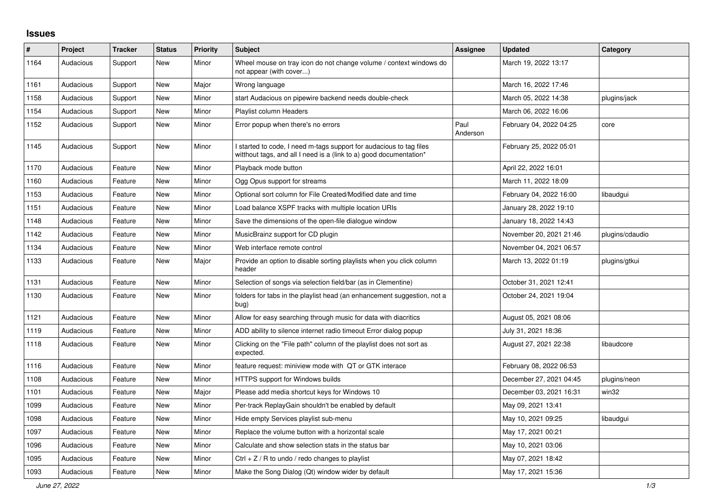## **Issues**

| $\sharp$ | Project   | <b>Tracker</b> | <b>Status</b> | <b>Priority</b> | <b>Subject</b>                                                                                                                          | Assignee         | <b>Updated</b>          | Category        |
|----------|-----------|----------------|---------------|-----------------|-----------------------------------------------------------------------------------------------------------------------------------------|------------------|-------------------------|-----------------|
| 1164     | Audacious | Support        | <b>New</b>    | Minor           | Wheel mouse on tray icon do not change volume / context windows do<br>not appear (with cover)                                           |                  | March 19, 2022 13:17    |                 |
| 1161     | Audacious | Support        | New           | Major           | Wrong language                                                                                                                          |                  | March 16, 2022 17:46    |                 |
| 1158     | Audacious | Support        | <b>New</b>    | Minor           | start Audacious on pipewire backend needs double-check                                                                                  |                  | March 05, 2022 14:38    | plugins/jack    |
| 1154     | Audacious | Support        | <b>New</b>    | Minor           | <b>Playlist column Headers</b>                                                                                                          |                  | March 06, 2022 16:06    |                 |
| 1152     | Audacious | Support        | <b>New</b>    | Minor           | Error popup when there's no errors                                                                                                      | Paul<br>Anderson | February 04, 2022 04:25 | core            |
| 1145     | Audacious | Support        | New           | Minor           | started to code, I need m-tags support for audacious to tag files<br>witthout tags, and all I need is a (link to a) good documentation* |                  | February 25, 2022 05:01 |                 |
| 1170     | Audacious | Feature        | <b>New</b>    | Minor           | Playback mode button                                                                                                                    |                  | April 22, 2022 16:01    |                 |
| 1160     | Audacious | Feature        | <b>New</b>    | Minor           | Ogg Opus support for streams                                                                                                            |                  | March 11, 2022 18:09    |                 |
| 1153     | Audacious | Feature        | <b>New</b>    | Minor           | Optional sort column for File Created/Modified date and time                                                                            |                  | February 04, 2022 16:00 | libaudgui       |
| 1151     | Audacious | Feature        | <b>New</b>    | Minor           | Load balance XSPF tracks with multiple location URIs                                                                                    |                  | January 28, 2022 19:10  |                 |
| 1148     | Audacious | Feature        | New           | Minor           | Save the dimensions of the open-file dialogue window                                                                                    |                  | January 18, 2022 14:43  |                 |
| 1142     | Audacious | Feature        | <b>New</b>    | Minor           | MusicBrainz support for CD plugin                                                                                                       |                  | November 20, 2021 21:46 | plugins/cdaudio |
| 1134     | Audacious | Feature        | <b>New</b>    | Minor           | Web interface remote control                                                                                                            |                  | November 04, 2021 06:57 |                 |
| 1133     | Audacious | Feature        | <b>New</b>    | Major           | Provide an option to disable sorting playlists when you click column<br>header                                                          |                  | March 13, 2022 01:19    | plugins/gtkui   |
| 1131     | Audacious | Feature        | <b>New</b>    | Minor           | Selection of songs via selection field/bar (as in Clementine)                                                                           |                  | October 31, 2021 12:41  |                 |
| 1130     | Audacious | Feature        | <b>New</b>    | Minor           | folders for tabs in the playlist head (an enhancement suggestion, not a<br>bug)                                                         |                  | October 24, 2021 19:04  |                 |
| 1121     | Audacious | Feature        | New           | Minor           | Allow for easy searching through music for data with diacritics                                                                         |                  | August 05, 2021 08:06   |                 |
| 1119     | Audacious | Feature        | New           | Minor           | ADD ability to silence internet radio timeout Error dialog popup                                                                        |                  | July 31, 2021 18:36     |                 |
| 1118     | Audacious | Feature        | <b>New</b>    | Minor           | Clicking on the "File path" column of the playlist does not sort as<br>expected.                                                        |                  | August 27, 2021 22:38   | libaudcore      |
| 1116     | Audacious | Feature        | <b>New</b>    | Minor           | feature request: miniview mode with QT or GTK interace                                                                                  |                  | February 08, 2022 06:53 |                 |
| 1108     | Audacious | Feature        | <b>New</b>    | Minor           | HTTPS support for Windows builds                                                                                                        |                  | December 27, 2021 04:45 | plugins/neon    |
| 1101     | Audacious | Feature        | <b>New</b>    | Major           | Please add media shortcut keys for Windows 10                                                                                           |                  | December 03, 2021 16:31 | win32           |
| 1099     | Audacious | Feature        | <b>New</b>    | Minor           | Per-track ReplayGain shouldn't be enabled by default                                                                                    |                  | May 09, 2021 13:41      |                 |
| 1098     | Audacious | Feature        | <b>New</b>    | Minor           | Hide empty Services playlist sub-menu                                                                                                   |                  | May 10, 2021 09:25      | libaudgui       |
| 1097     | Audacious | Feature        | New           | Minor           | Replace the volume button with a horizontal scale                                                                                       |                  | May 17, 2021 00:21      |                 |
| 1096     | Audacious | Feature        | <b>New</b>    | Minor           | Calculate and show selection stats in the status bar                                                                                    |                  | May 10, 2021 03:06      |                 |
| 1095     | Audacious | Feature        | <b>New</b>    | Minor           | Ctrl + $Z$ / R to undo / redo changes to playlist                                                                                       |                  | May 07, 2021 18:42      |                 |
| 1093     | Audacious | Feature        | <b>New</b>    | Minor           | Make the Song Dialog (Qt) window wider by default                                                                                       |                  | May 17, 2021 15:36      |                 |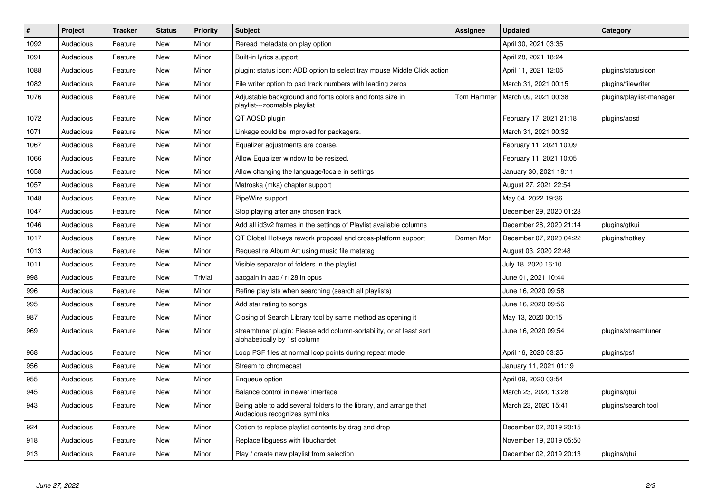| $\#$ | Project   | <b>Tracker</b> | <b>Status</b> | <b>Priority</b> | <b>Subject</b>                                                                                      | <b>Assignee</b> | <b>Updated</b>          | Category                 |
|------|-----------|----------------|---------------|-----------------|-----------------------------------------------------------------------------------------------------|-----------------|-------------------------|--------------------------|
| 1092 | Audacious | Feature        | <b>New</b>    | Minor           | Reread metadata on play option                                                                      |                 | April 30, 2021 03:35    |                          |
| 1091 | Audacious | Feature        | <b>New</b>    | Minor           | Built-in lyrics support                                                                             |                 | April 28, 2021 18:24    |                          |
| 1088 | Audacious | Feature        | <b>New</b>    | Minor           | plugin: status icon: ADD option to select tray mouse Middle Click action                            |                 | April 11, 2021 12:05    | plugins/statusicon       |
| 1082 | Audacious | Feature        | New           | Minor           | File writer option to pad track numbers with leading zeros                                          |                 | March 31, 2021 00:15    | plugins/filewriter       |
| 1076 | Audacious | Feature        | <b>New</b>    | Minor           | Adjustable background and fonts colors and fonts size in<br>playlist---zoomable playlist            | Tom Hammer      | March 09, 2021 00:38    | plugins/playlist-manager |
| 1072 | Audacious | Feature        | <b>New</b>    | Minor           | QT AOSD plugin                                                                                      |                 | February 17, 2021 21:18 | plugins/aosd             |
| 1071 | Audacious | Feature        | <b>New</b>    | Minor           | Linkage could be improved for packagers.                                                            |                 | March 31, 2021 00:32    |                          |
| 1067 | Audacious | Feature        | <b>New</b>    | Minor           | Equalizer adjustments are coarse.                                                                   |                 | February 11, 2021 10:09 |                          |
| 1066 | Audacious | Feature        | <b>New</b>    | Minor           | Allow Equalizer window to be resized.                                                               |                 | February 11, 2021 10:05 |                          |
| 1058 | Audacious | Feature        | <b>New</b>    | Minor           | Allow changing the language/locale in settings                                                      |                 | January 30, 2021 18:11  |                          |
| 1057 | Audacious | Feature        | New           | Minor           | Matroska (mka) chapter support                                                                      |                 | August 27, 2021 22:54   |                          |
| 1048 | Audacious | Feature        | <b>New</b>    | Minor           | PipeWire support                                                                                    |                 | May 04, 2022 19:36      |                          |
| 1047 | Audacious | Feature        | New           | Minor           | Stop playing after any chosen track                                                                 |                 | December 29, 2020 01:23 |                          |
| 1046 | Audacious | Feature        | New           | Minor           | Add all id3v2 frames in the settings of Playlist available columns                                  |                 | December 28, 2020 21:14 | plugins/gtkui            |
| 1017 | Audacious | Feature        | <b>New</b>    | Minor           | QT Global Hotkeys rework proposal and cross-platform support                                        | Domen Mori      | December 07, 2020 04:22 | plugins/hotkey           |
| 1013 | Audacious | Feature        | New           | Minor           | Request re Album Art using music file metatag                                                       |                 | August 03, 2020 22:48   |                          |
| 1011 | Audacious | Feature        | New           | Minor           | Visible separator of folders in the playlist                                                        |                 | July 18, 2020 16:10     |                          |
| 998  | Audacious | Feature        | <b>New</b>    | <b>Trivial</b>  | aacgain in aac / r128 in opus                                                                       |                 | June 01, 2021 10:44     |                          |
| 996  | Audacious | Feature        | <b>New</b>    | Minor           | Refine playlists when searching (search all playlists)                                              |                 | June 16, 2020 09:58     |                          |
| 995  | Audacious | Feature        | <b>New</b>    | Minor           | Add star rating to songs                                                                            |                 | June 16, 2020 09:56     |                          |
| 987  | Audacious | Feature        | New           | Minor           | Closing of Search Library tool by same method as opening it                                         |                 | May 13, 2020 00:15      |                          |
| 969  | Audacious | Feature        | New           | Minor           | streamtuner plugin: Please add column-sortability, or at least sort<br>alphabetically by 1st column |                 | June 16, 2020 09:54     | plugins/streamtuner      |
| 968  | Audacious | Feature        | <b>New</b>    | Minor           | Loop PSF files at normal loop points during repeat mode                                             |                 | April 16, 2020 03:25    | plugins/psf              |
| 956  | Audacious | Feature        | <b>New</b>    | Minor           | Stream to chromecast                                                                                |                 | January 11, 2021 01:19  |                          |
| 955  | Audacious | Feature        | <b>New</b>    | Minor           | Enqueue option                                                                                      |                 | April 09, 2020 03:54    |                          |
| 945  | Audacious | Feature        | New           | Minor           | Balance control in newer interface                                                                  |                 | March 23, 2020 13:28    | plugins/qtui             |
| 943  | Audacious | Feature        | New           | Minor           | Being able to add several folders to the library, and arrange that<br>Audacious recognizes symlinks |                 | March 23, 2020 15:41    | plugins/search tool      |
| 924  | Audacious | Feature        | New           | Minor           | Option to replace playlist contents by drag and drop                                                |                 | December 02, 2019 20:15 |                          |
| 918  | Audacious | Feature        | <b>New</b>    | Minor           | Replace libguess with libuchardet                                                                   |                 | November 19, 2019 05:50 |                          |
| 913  | Audacious | Feature        | New           | Minor           | Play / create new playlist from selection                                                           |                 | December 02, 2019 20:13 | plugins/gtui             |